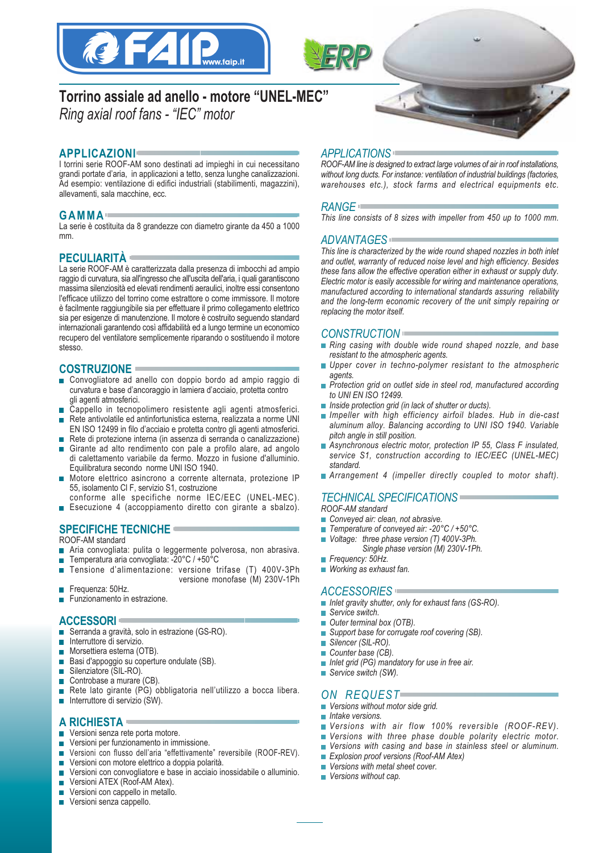



# **Torrino assiale ad anello - motore "UNEL-MEC"** *Ring axial roof fans - "IEC" motor*

# **APPLICAZIONI**

I torrini serie ROOF-AM sono destinati ad impieghi in cui necessitano grandi portate d'aria, in applicazioni a tetto, senza lunghe canalizzazioni. Ad esempio: ventilazione di edifici industriali (stabilimenti, magazzini), allevamenti, sala macchine, ecc.

# **GAMMA**

La serie è costituita da 8 grandezze con diametro girante da 450 a 1000 mm.

# **PECULIARITÀ**

La serie ROOF-AM è caratterizzata dalla presenza di imbocchi ad ampio raggio di curvatura, sia all'ingresso che all'uscita dell'aria, i quali garantiscono massima silenziosità ed elevati rendimenti aeraulici, inoltre essi consentono l'efficace utilizzo del torrino come estrattore o come immissore. Il motore è facilmente raggiungibile sia per effettuare il primo collegamento elettrico sia per esigenze di manutenzione. Il motore è costruito seguendo standard internazionali garantendo così affidabilità ed a lungo termine un economico recupero del ventilatore semplicemente riparando o sostituendo il motore stesso.

## **COSTRUZIONE**

- Convogliatore ad anello con doppio bordo ad ampio raggio di curvatura e base d'ancoraggio in lamiera d'acciaio, protetta contro gli agenti atmosferici.
- Cappello in tecnopolimero resistente agli agenti atmosferici.
- $\mathcal{L}_{\mathcal{A}}$ Rete antivolatile ed antinfortunistica esterna, realizzata a norme UNI EN ISO 12499 in filo d'acciaio e protetta contro gli agenti atmosferici.
- Rete di protezione interna (in assenza di serranda o canalizzazione) Girante ad alto rendimento con pale a profilo alare, ad angolo di calettamento variabile da fermo. Mozzo in fusione d'alluminio. Equilibratura secondo norme UNI ISO 1940.
- Motore elettrico asincrono a corrente alternata, protezione IP  $\sim$ 55, isolamento Cl F, servizio S1, costruzione
- conforme alle specifiche norme IEC/EEC (UNEL-MEC).
- Esecuzione 4 (accoppiamento diretto con girante a sbalzo).

# **SPECIFICHE TECNICHE**

ROOF-AM standard

- Aria convogliata: pulita o leggermente polverosa, non abrasiva.
- Temperatura aria convogliata: -20°C / +50°C  $\overline{\phantom{a}}$
- Tensione d'alimentazione: versione trifase (T) 400V-3Ph  $\overline{\mathcal{A}}$ versione monofase (M) 230V-1Ph
- Frequenza: 50Hz.
- **Funzionamento in estrazione.**

### **ACCESSORI**

- Serranda a gravità, solo in estrazione (GS-RO).  $\overline{\phantom{a}}$
- $\overline{\phantom{a}}$ Interruttore di servizio.
- Morsettiera esterna (OTB).  $\mathcal{C}^{\mathcal{A}}$
- Basi d'appoggio su coperture ondulate (SB).  $\overline{\phantom{a}}$
- Silenziatore (SIL-RO).  $\overline{\phantom{a}}$
- Controbase a murare (CB).  $\overline{\phantom{a}}$
- Rete lato girante (PG) obbligatoria nell'utilizzo a bocca libera. **T**
- $\blacksquare$  Interruttore di servizio (SW).

# **A RICHIESTA**

- Versioni senza rete porta motore.  $\overline{\phantom{a}}$
- Versioni per funzionamento in immissione. П
- Versioni con flusso dell'aria "effettivamente" reversibile (ROOF-REV).
- Versioni con motore elettrico a doppia polarità.  $\mathbf{r}$
- Versioni con convogliatore e base in acciaio inossidabile o alluminio.  $\overline{\phantom{a}}$
- Versioni ATEX (Roof-AM Atex).  $\mathcal{L}_{\mathcal{A}}$
- Versioni con cappello in metallo.
- **Versioni senza cappello.**

## *APPLICATIONS*

*ROOF-AM line is designed to extract large volumes of air in roof installations, without long ducts. For instance: ventilation of industrial buildings (factories, warehouses etc.), stock farms and electrical equipments etc.*

#### *RANGE*

*This line consists of 8 sizes with impeller from 450 up to 1000 mm.*

### *ADVANTAGES*

*This line is characterized by the wide round shaped nozzles in both inlet and outlet, warranty of reduced noise level and high efficiency. Besides these fans allow the effective operation either in exhaust or supply duty. Electric motor is easily accessible for wiring and maintenance operations, manufactured according to international standards assuring reliability and the long-term economic recovery of the unit simply repairing or replacing the motor itself.*

### *CONSTRUCTION*

- *Ring casing with double wide round shaped nozzle, and base resistant to the atmospheric agents.*
- *Upper cover in techno-polymer resistant to the atmospheric*  $\overline{\phantom{a}}$ *agents.*
- *Protection grid on outlet side in steel rod, manufactured according to UNI EN ISO 12499.*
- *Inside protection grid (in lack of shutter or ducts).*
- *Impeller with high efficiency airfoil blades. Hub in die-cast aluminum alloy. Balancing according to UNI ISO 1940. Variable pitch angle in still position.*
- *Asynchronous electric motor, protection IP 55, Class F insulated, service S1, construction according to IEC/EEC (UNEL-MEC) standard.*
- *Arrangement 4 (impeller directly coupled to motor shaft).*

# *TECHNICAL SPECIFICATIONS*

- *ROOF-AM standard*
- *Conveyed air: clean, not abrasive.*
- *Temperature of conveyed air: -20°C / +50°C.*
- *Voltage: three phase version (T) 400V-3Ph.*
	- *Single phase version (M) 230V-1Ph.*
- *Frequency: 50Hz.*
- *Working as exhaust fan.*

#### *ACCESSORIES*

- *Inlet gravity shutter, only for exhaust fans (GS-RO).*
- $\blacksquare$ *Service switch.*
- *Outer terminal box (OTB).* **In**
- *Support base for corrugate roof covering (SB).*  $\overline{\phantom{a}}$
- $\overline{\phantom{a}}$ *Silencer (SIL-RO).*
- *Counter base (CB).*  $\blacksquare$
- *Inlet grid (PG) mandatory for use in free air.*
- *Service switch (SW).*

## *ON REQUEST*

- *Versions without motor side grid.*
- *Intake versions.*
- *Versions with air flow 100% reversible (ROOF-REV).*  $\mathcal{L}_{\mathcal{A}}$
- *Versions with three phase double polarity electric motor.*
- *Versions with casing and base in stainless steel or aluminum.*  $\mathcal{L}_{\mathcal{A}}$
- *Explosion proof versions (Roof-AM Atex)*
- *Versions with metal sheet cover.*  $\mathcal{L}_{\mathcal{A}}$
- *Versions without cap.*  $\mathcal{L}_{\mathcal{A}}$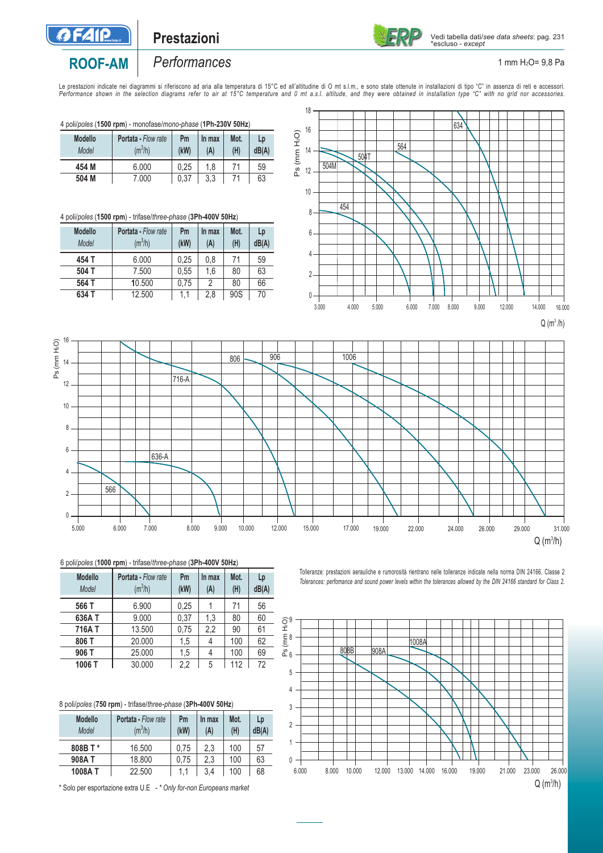

# **Prestazioni**



#### 1 mm H2O= 9,8 Pa

# **ROOF-AM**

# *Performances*

Le prestazioni indicate nei diagrammi si riferiscono ad aria alla lamerarana al a fierara di 15°C ed all'altitudine di Omt s.l.m., e sono state ottenute in installazioni di tipo "C" in assenza di reti e accessori.<br>Performa

4 poli/*poles* (**1500 rpm**) - monofase/*mono-phase* (**1Ph-230V 50Hz**)

| <b>Modello</b><br>Model | <b>Portata - Flow rate</b><br>$(m^3/h)$ | Pm<br>(kW) | In max<br>(A) | Mot.<br>(H) | Lp<br>dB(A) |
|-------------------------|-----------------------------------------|------------|---------------|-------------|-------------|
| 454 M                   | 6.000                                   | 0.25       | 1.8           | 71          | 59          |
| 504 M                   | 7.000                                   | 0.37       | 3.3           |             | 63          |

### 4 poli/*poles* (**1500 rpm**) - trifase/*three-phase* (**3Ph-400V 50Hz**)

| <b>Modello</b><br><b>Portata - Flow rate</b><br>$(m^3/h)$<br>Model |       | Pm<br>(kW) | In max<br>(A) | Mot.<br>(H) | Lp<br>dB(A) |    |
|--------------------------------------------------------------------|-------|------------|---------------|-------------|-------------|----|
|                                                                    | 454 T | 6.000      | 0.25          | 0,8         | 71          | 59 |
|                                                                    | 504 T | 7.500      | 0.55          | 1,6         | 80          | 63 |
|                                                                    | 564 T | 10.500     | 0.75          | 2           | 80          | 66 |
|                                                                    | 634 T | 12.500     | 1,1           | 2.8         | 90S         | 70 |





#### 6 poli/*poles* (**1000 rpm**) - trifase/*three-phase* (**3Ph-400V 50Hz**)

| <b>Modello</b><br>Model | Portata - Flow rate<br>$(m^3/h)$ | Pm<br>(kW) | In max<br>(A) | Mot.<br>(H) | Lp<br>dB(A) |
|-------------------------|----------------------------------|------------|---------------|-------------|-------------|
| 566 T                   | 6.900                            | 0.25       |               | 71          | 56          |
| 636A T                  | 9.000                            | 0.37       | 1.3           | 80          | 60          |
| 716AT                   | 13.500                           | 0.75       | 2,2           | 90          | 61          |
| 806 T                   | 20,000                           | 1,5        | 4             | 100         | 62          |
| 906 T                   | 25,000                           | 1,5        | 4             | 100         | 69          |
| 1006 T                  | 30.000                           | 2,2        | 5             | 112         | 72          |

| 8 poli/poles (750 rpm) - trifase/three-phase (3Ph-400V 50Hz) |                            |      |        |      |      |  |
|--------------------------------------------------------------|----------------------------|------|--------|------|------|--|
| <b>Modello</b>                                               | <b>Portata - Flow rate</b> | Pm   | In max | Mot. | Lp   |  |
| Model                                                        | $(m^3/h)$                  | (kW) | (A)    | (H)  | dB() |  |

| Model   | $(m^{\circ}/h)$ | (KW) | (A) | (H) | dB(A) |
|---------|-----------------|------|-----|-----|-------|
| 808B T* | 16.500          | 0.75 | 2.3 | 100 | 57    |
| 908AT   | 18,800          | 0.75 | 2.3 | 100 | 63    |
| 1008AT  | 22,500          | 11   | 3.4 | 100 | 68    |

\* Solo per esportazione extra U.E - *\* Only for-non Europeans market*

Tolleranze: prestazioni aerauliche e rumorosità rientrano nelle tolleranze indicate nella norma DIN 24166, Classe 2 *Tolerances: perfomance and sound power levels within the tolerances allowed by the DIN 24166 standard for Class 2.*

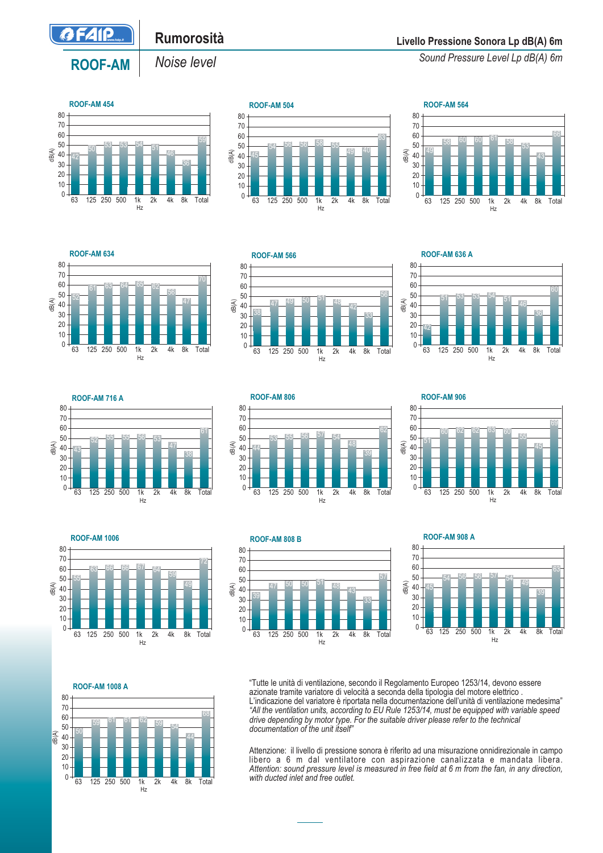

**ROOF-AM** 

# **Rumorosità**

*Noise level*

**Livello Pressione Sonora Lp dB(A) 6m**

*Sound Pressure Level Lp dB(A) 6m*











**ROOF-AM 636 A**







**ROOF-AM 906**







**ROOF-AM 908 A**



  $\Omega$ dB(A) 59 61 61 62 59 54 **ROOF-AM 1008 A** 63 125 250 500 1k 2k 4k 8k Total Hz

"Tutte le unità di ventilazione, secondo il Regolamento Europeo 1253/14, devono essere azionate tramite variatore di velocità a seconda della tipologia del motore elettrico . L'indicazione del variatore è riportata nella documentazione dell'unità di ventilazione medesima" *"All the ventilation units, according to EU Rule 1253/14, must be equipped with variable speed drive depending by motor type. For the suitable driver please refer to the technical documentation of the unit itself"*

Attenzione: il livello di pressione sonora è riferito ad una misurazione onnidirezionale in campo libero a 6 m dal ventilatore con aspirazione canalizzata e mandata libera. *Attention: sound pressure level is measured in free field at 6 m from the fan, in any direction, with ducted inlet and free outlet.*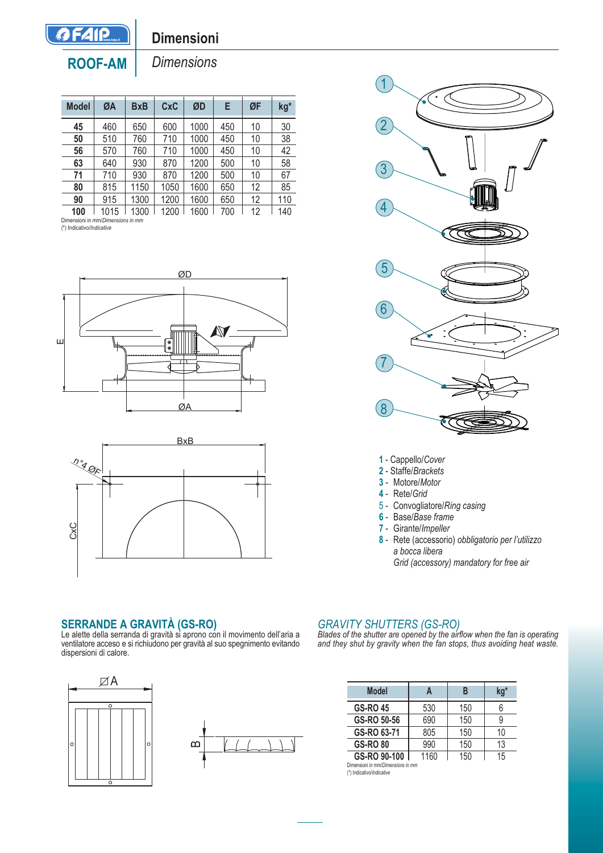

# **Dimensioni**

**ROOF-AM** 

*Dimensions*

| <b>Model</b> | ØA                                | <b>BxB</b> | CxC  | ØD   | Е   | ØF | kg* |
|--------------|-----------------------------------|------------|------|------|-----|----|-----|
| 45           | 460                               | 650        | 600  | 1000 | 450 | 10 | 30  |
| 50           | 510                               | 760        | 710  | 1000 | 450 | 10 | 38  |
| 56           | 570                               | 760        | 710  | 1000 | 450 | 10 | 42  |
| 63           | 640                               | 930        | 870  | 1200 | 500 | 10 | 58  |
| 71           | 710                               | 930        | 870  | 1200 | 500 | 10 | 67  |
| 80           | 815                               | 1150       | 1050 | 1600 | 650 | 12 | 85  |
| 90           | 915                               | 1300       | 1200 | 1600 | 650 | 12 | 110 |
| 100          | 1015                              | 1300       | 1200 | 1600 | 700 | 12 | 140 |
|              | Dimensioni in mm/Dimensions in mm |            |      |      |     |    |     |

(\*) Indicativo/*Indicative*







**1** - Cappello/*Cover*

- **2** Staffe/*Brackets*
- **3** Motore/*Motor*
- **4** Rete/*Grid*
- 5 Convogliatore/*Ring casing*
- **6** Base/*Base frame*
- **7** Girante/*Impeller*
- **8** Rete (accessorio) *obbligatorio per l'utilizzo a bocca libera Grid (accessory) mandatory for free air*

## **SERRANDE A GRAVITÀ (GS-RO)**

Le alette della serranda di gravità si aprono con il movimento dell'aria a ventilatore acceso e si richiudono per gravità al suo spegnimento evitando dispersioni di calore.



## *GRAVITY SHUTTERS (GS-RO)*

*Blades of the shutter are opened by the airflow when the fan is operating and they shut by gravity when the fan stops, thus avoiding heat waste.*

| <b>Model</b>    |      | B   | kg* |
|-----------------|------|-----|-----|
| <b>GS-RO 45</b> | 530  | 150 | ჩ   |
| GS-RO 50-56     | 690  | 150 | 9   |
| GS-RO 63-71     | 805  | 150 | 10  |
| <b>GS-RO 80</b> | 990  | 150 | 13  |
| GS-RO 90-100    | 1160 | 150 | 15  |

Dimensioni in mm/*Dimensions in mm* (\*) Indicativo/*Indicative*